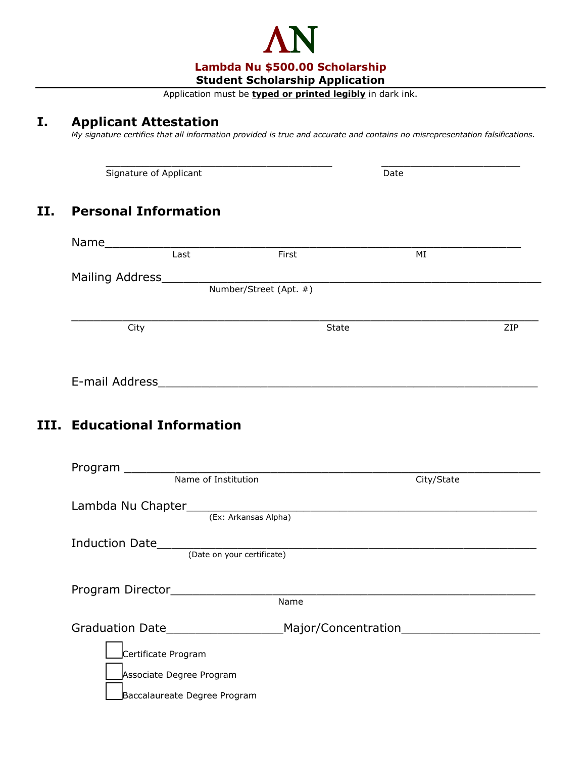

Application must be **typed or printed legibly** in dark ink.

## **I. Applicant Attestation**

**III.** 

*My signature certifies that all information provided is true and accurate and contains no misrepresentation falsifications.*

| Signature of Applicant |                              |       | Date                               |     |
|------------------------|------------------------------|-------|------------------------------------|-----|
|                        | <b>Personal Information</b>  |       |                                    |     |
|                        |                              |       |                                    |     |
|                        |                              | First | MI                                 |     |
|                        |                              |       |                                    |     |
|                        |                              |       |                                    |     |
|                        | City                         | State |                                    | ZIP |
|                        |                              |       |                                    |     |
|                        |                              |       |                                    |     |
|                        | III. Educational Information |       |                                    |     |
|                        |                              |       |                                    |     |
|                        | Name of Institution          |       | City/State                         |     |
|                        |                              |       |                                    |     |
|                        |                              |       |                                    |     |
|                        |                              |       |                                    |     |
|                        |                              |       |                                    |     |
| Program Director       |                              | Name  |                                    |     |
|                        | Graduation Date              |       | Major/Concentration_______________ |     |
|                        | Certificate Program          |       |                                    |     |
|                        | Associate Degree Program     |       |                                    |     |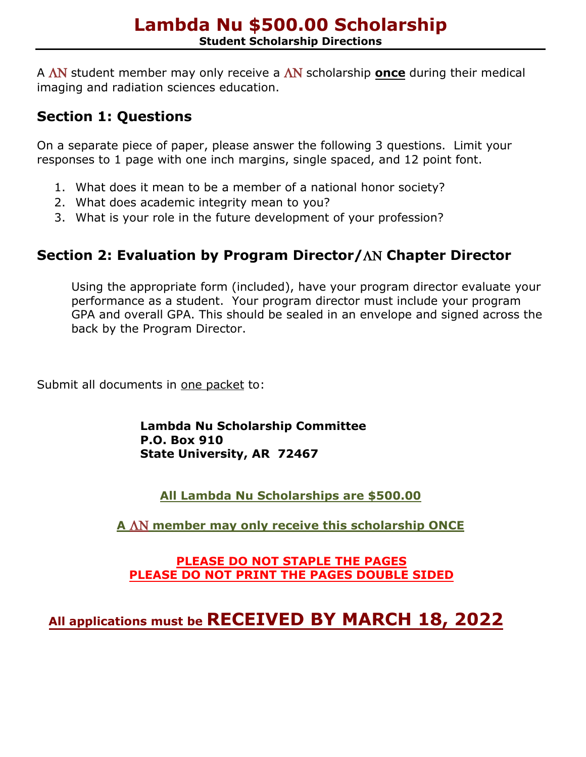A ΛΝ student member may only receive a ΛΝ scholarship **once** during their medical imaging and radiation sciences education.

## **Section 1: Questions**

On a separate piece of paper, please answer the following 3 questions. Limit your responses to 1 page with one inch margins, single spaced, and 12 point font.

- 1. What does it mean to be a member of a national honor society?
- 2. What does academic integrity mean to you?
- 3. What is your role in the future development of your profession?

# **Section 2: Evaluation by Program Director/**ΛΝ **Chapter Director**

Using the appropriate form (included), have your program director evaluate your performance as a student. Your program director must include your program GPA and overall GPA. This should be sealed in an envelope and signed across the back by the Program Director.

Submit all documents in one packet to:

**Lambda Nu Scholarship Committee P.O. Box 910 State University, AR 72467**

**All Lambda Nu Scholarships are \$500.00**

**A** ΛΝ **member may only receive this scholarship ONCE**

#### **PLEASE DO NOT STAPLE THE PAGES PLEASE DO NOT PRINT THE PAGES DOUBLE SIDED**

# **All applications must be RECEIVED BY MARCH 18, 2022**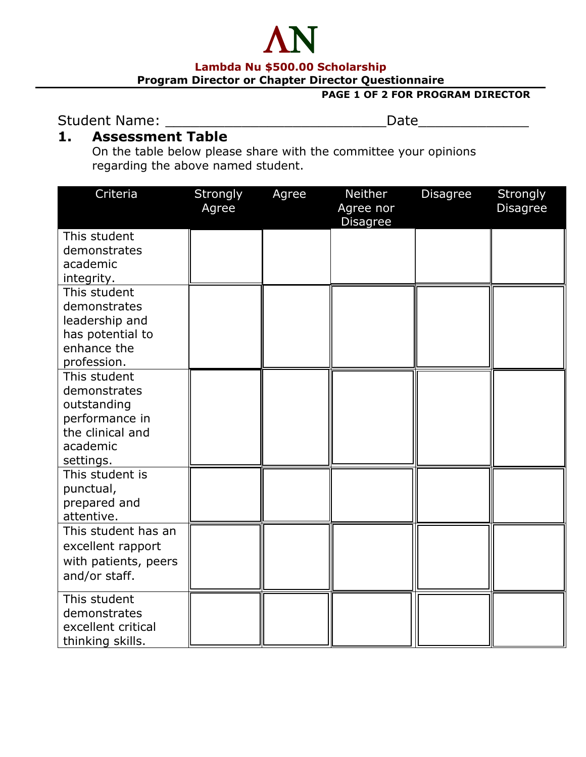#### **Lambda Nu \$500.00 Scholarship**

ΛΝ

**Program Director or Chapter Director Questionnaire**

#### **PAGE 1 OF 2 FOR PROGRAM DIRECTOR**

Student Name: \_\_\_\_\_\_\_\_\_\_\_\_\_\_\_\_\_\_\_\_\_\_\_\_\_\_Date\_\_\_\_\_\_\_\_\_\_\_\_\_

#### **1. Assessment Table**

On the table below please share with the committee your opinions regarding the above named student.

| Criteria                           | Strongly<br>Agree | Agree | <b>Neither</b><br>Agree nor<br><b>Disagree</b> | <b>Disagree</b> | Strongly<br><b>Disagree</b> |
|------------------------------------|-------------------|-------|------------------------------------------------|-----------------|-----------------------------|
| This student                       |                   |       |                                                |                 |                             |
| demonstrates                       |                   |       |                                                |                 |                             |
| academic                           |                   |       |                                                |                 |                             |
| integrity.                         |                   |       |                                                |                 |                             |
| This student                       |                   |       |                                                |                 |                             |
| demonstrates                       |                   |       |                                                |                 |                             |
| leadership and                     |                   |       |                                                |                 |                             |
| has potential to                   |                   |       |                                                |                 |                             |
| enhance the                        |                   |       |                                                |                 |                             |
| profession.                        |                   |       |                                                |                 |                             |
| This student                       |                   |       |                                                |                 |                             |
| demonstrates                       |                   |       |                                                |                 |                             |
| outstanding                        |                   |       |                                                |                 |                             |
| performance in<br>the clinical and |                   |       |                                                |                 |                             |
| academic                           |                   |       |                                                |                 |                             |
| settings.                          |                   |       |                                                |                 |                             |
| This student is                    |                   |       |                                                |                 |                             |
| punctual,                          |                   |       |                                                |                 |                             |
| prepared and                       |                   |       |                                                |                 |                             |
| attentive.                         |                   |       |                                                |                 |                             |
| This student has an                |                   |       |                                                |                 |                             |
| excellent rapport                  |                   |       |                                                |                 |                             |
| with patients, peers               |                   |       |                                                |                 |                             |
| and/or staff.                      |                   |       |                                                |                 |                             |
|                                    |                   |       |                                                |                 |                             |
| This student                       |                   |       |                                                |                 |                             |
| demonstrates                       |                   |       |                                                |                 |                             |
| excellent critical                 |                   |       |                                                |                 |                             |
| thinking skills.                   |                   |       |                                                |                 |                             |